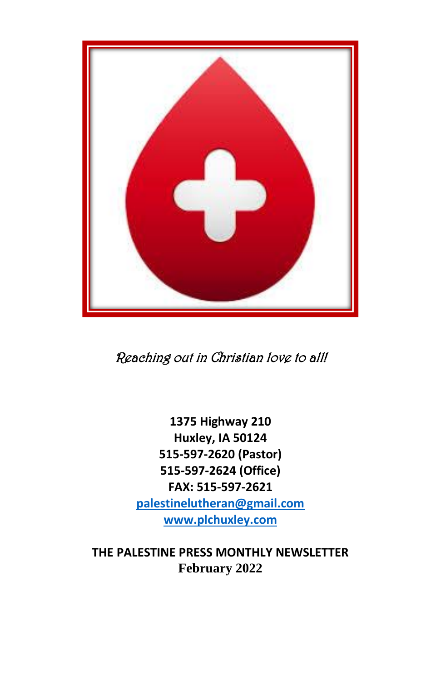

Reaching out in Christian love to all!

**1375 Highway 210 Huxley, IA 50124 515-597-2620 (Pastor) 515-597-2624 (Office) FAX: 515-597-2621 [palestinelutheran@gmail.com](mailto:palestinelutheran@gmail.com) [www.plchuxley.com](http://www.plchuxley.com/)**

**THE PALESTINE PRESS MONTHLY NEWSLETTER February 2022**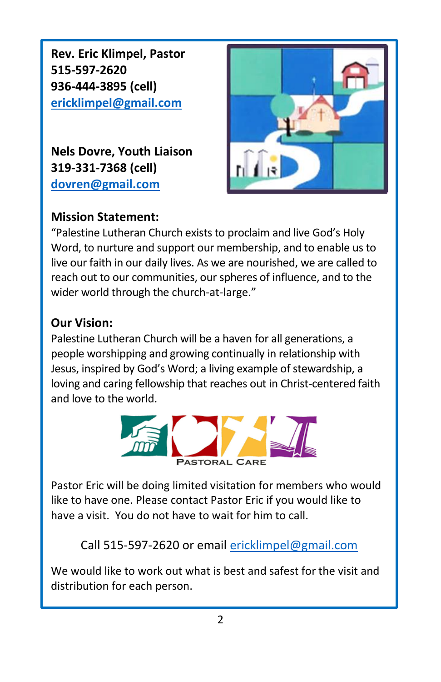**Rev. Eric Klimpel, Pastor 515-597-2620 936-444-3895 (cell) [ericklimpel@gmail.com](mailto:ericklimpel@gmail.com)**

**Nels Dovre, Youth Liaison 319-331-7368 (cell) [dovren@gmail.com](mailto:dovren@gmail.com)**



#### **Mission Statement:**

"Palestine Lutheran Church exists to proclaim and live God's Holy Word, to nurture and support our membership, and to enable us to live our faith in our daily lives. As we are nourished, we are called to reach out to our communities, our spheres of influence, and to the wider world through the church-at-large."

#### **Our Vision:**

Palestine Lutheran Church will be a haven for all generations, a people worshipping and growing continually in relationship with Jesus, inspired by God's Word; a living example of stewardship, a loving and caring fellowship that reaches out in Christ-centered faith and love to the world.



Pastor Eric will be doing limited visitation for members who would like to have one. Please contact Pastor Eric if you would like to have a visit. You do not have to wait for him to call.

Call 515-597-2620 or email [ericklimpel@gmail.com](mailto:ericklimpel@gmail.com)

We would like to work out what is best and safest for the visit and distribution for each person.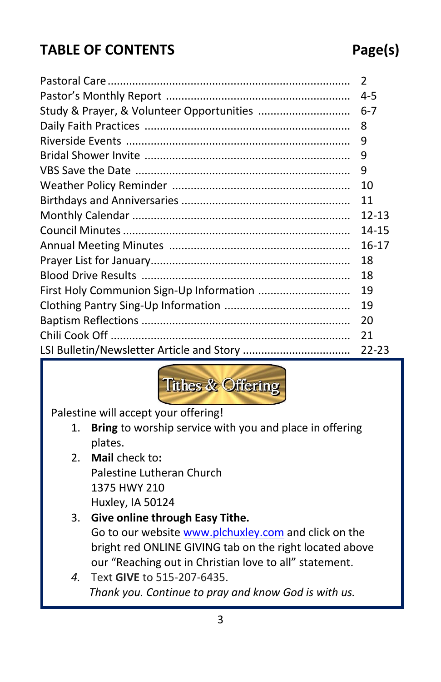### **TABLE OF CONTENTS Page(s)**

#### Pastoral Care............................................................................... 2 Pastor's Monthly Report ............................................................ 4-5 Study & Prayer, & Volunteer Opportunities .............................. 6-7 Daily Faith Practices ................................................................... 8 Riverside Events ......................................................................... 9 Bridal Shower Invite ................................................................... 9 VBS Save the Date ...................................................................... 9 Weather Policy Reminder .......................................................... 10 Birthdays and Anniversaries ....................................................... 11 Monthly Calendar ....................................................................... 12-13 Council Minutes.......................................................................... 14-15 Annual Meeting Minutes ........................................................... 16-17 Prayer List for January................................................................. 18 Blood Drive Results .................................................................... 18 First Holy Communion Sign-Up Information .............................. 19 Clothing Pantry Sing-Up Information ......................................... 19 Baptism Reflections .................................................................... 20 Chili Cook Off .............................................................................. 21 LSI Bulletin/Newsletter Article and Story ................................... 22-23



Palestine will accept your offering!

- 1. **Bring** to worship service with you and place in offering plates.
- 2. **Mail** check to**:** Palestine Lutheran Church 1375 HWY 210 Huxley, IA 50124

#### 3. **Give online through Easy Tithe.**  Go to our websit[e www.plchuxley.com](http://www.plchuxley.com/) and click on the bright red ONLINE GIVING tab on the right located above our "Reaching out in Christian love to all" statement.

*4.* Text **GIVE** to 515-207-6435. *Thank you. Continue to pray and know God is with us.*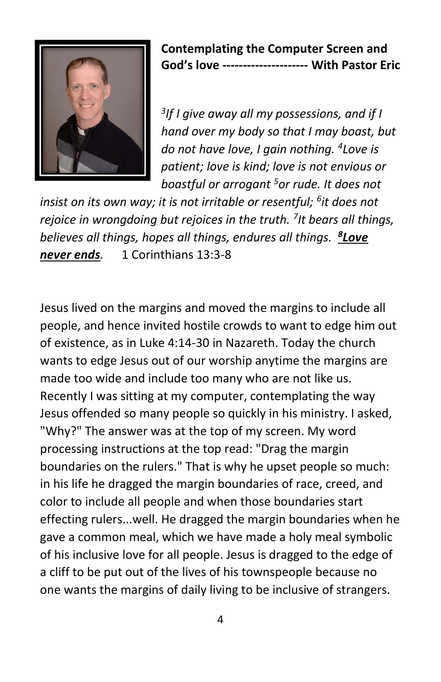

#### **Contemplating the Computer Screen and God's love --------------------- With Pastor Eric**

*3 If I give away all my possessions, and if I hand over my body so that I may boast, but do not have love, I gain nothing. <sup>4</sup> Love is patient; love is kind; love is not envious or boastful or arrogant <sup>5</sup>or rude. It does not* 

*insist on its own way; it is not irritable or resentful; <sup>6</sup> it does not rejoice in wrongdoing but rejoices in the truth. <sup>7</sup> It bears all things, believes all things, hopes all things, endures all things. <sup>8</sup> Love never ends.* 1 Corinthians 13:3-8

Jesus lived on the margins and moved the margins to include all people, and hence invited hostile crowds to want to edge him out of existence, as in Luke 4:14-30 in Nazareth. Today the church wants to edge Jesus out of our worship anytime the margins are made too wide and include too many who are not like us. Recently I was sitting at my computer, contemplating the way Jesus offended so many people so quickly in his ministry. I asked, "Why?" The answer was at the top of my screen. My word processing instructions at the top read: "Drag the margin boundaries on the rulers." That is why he upset people so much: in his life he dragged the margin boundaries of race, creed, and color to include all people and when those boundaries start effecting rulers...well. He dragged the margin boundaries when he gave a common meal, which we have made a holy meal symbolic of his inclusive love for all people. Jesus is dragged to the edge of a cliff to be put out of the lives of his townspeople because no one wants the margins of daily living to be inclusive of strangers.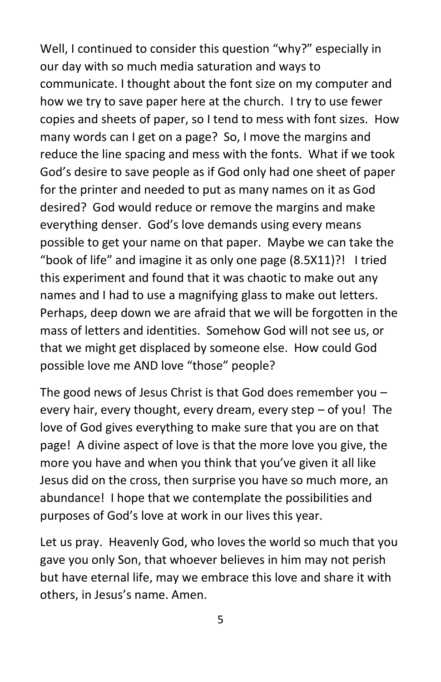Well, I continued to consider this question "why?" especially in our day with so much media saturation and ways to communicate. I thought about the font size on my computer and how we try to save paper here at the church. I try to use fewer copies and sheets of paper, so I tend to mess with font sizes. How many words can I get on a page? So, I move the margins and reduce the line spacing and mess with the fonts. What if we took God's desire to save people as if God only had one sheet of paper for the printer and needed to put as many names on it as God desired? God would reduce or remove the margins and make everything denser. God's love demands using every means possible to get your name on that paper. Maybe we can take the "book of life" and imagine it as only one page (8.5X11)?! I tried this experiment and found that it was chaotic to make out any names and I had to use a magnifying glass to make out letters. Perhaps, deep down we are afraid that we will be forgotten in the mass of letters and identities. Somehow God will not see us, or that we might get displaced by someone else. How could God possible love me AND love "those" people?

The good news of Jesus Christ is that God does remember you  $$ every hair, every thought, every dream, every step – of you! The love of God gives everything to make sure that you are on that page! A divine aspect of love is that the more love you give, the more you have and when you think that you've given it all like Jesus did on the cross, then surprise you have so much more, an abundance! I hope that we contemplate the possibilities and purposes of God's love at work in our lives this year.

Let us pray. Heavenly God, who loves the world so much that you gave you only Son, that whoever believes in him may not perish but have eternal life, may we embrace this love and share it with others, in Jesus's name. Amen.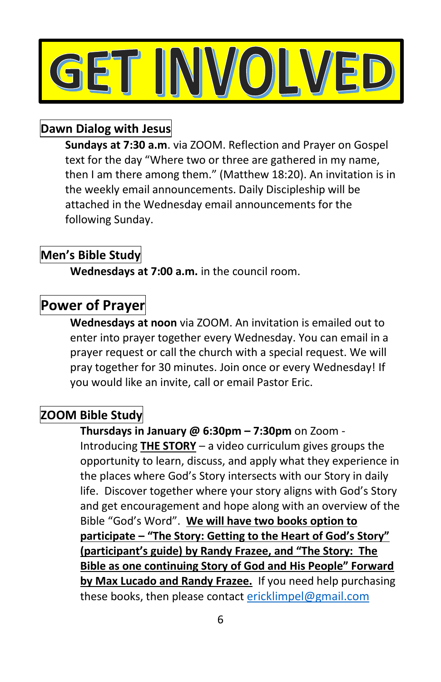

#### **Dawn Dialog with Jesus**

**Sundays at 7:30 a.m**. via ZOOM. Reflection and Prayer on Gospel text for the day "Where two or three are gathered in my name, then I am there among them." (Matthew 18:20). An invitation is in the weekly email announcements. Daily Discipleship will be attached in the Wednesday email announcements for the following Sunday.

#### **Men's Bible Study**

**Wednesdays at 7:00 a.m.** in the council room.

#### **Power of Prayer**

**Wednesdays at noon** via ZOOM. An invitation is emailed out to enter into prayer together every Wednesday. You can email in a prayer request or call the church with a special request. We will pray together for 30 minutes. Join once or every Wednesday! If you would like an invite, call or email Pastor Eric.

#### **ZOOM Bible Study**

**Thursdays in January @ 6:30pm – 7:30pm** on Zoom - Introducing **THE STORY** – a video curriculum gives groups the opportunity to learn, discuss, and apply what they experience in the places where God's Story intersects with our Story in daily life. Discover together where your story aligns with God's Story and get encouragement and hope along with an overview of the Bible "God's Word". **We will have two books option to participate – "The Story: Getting to the Heart of God's Story" (participant's guide) by Randy Frazee, and "The Story: The Bible as one continuing Story of God and His People" Forward by Max Lucado and Randy Frazee.** If you need help purchasing these books, then please contact [ericklimpel@gmail.com](mailto:ericklimpel@gmail.com)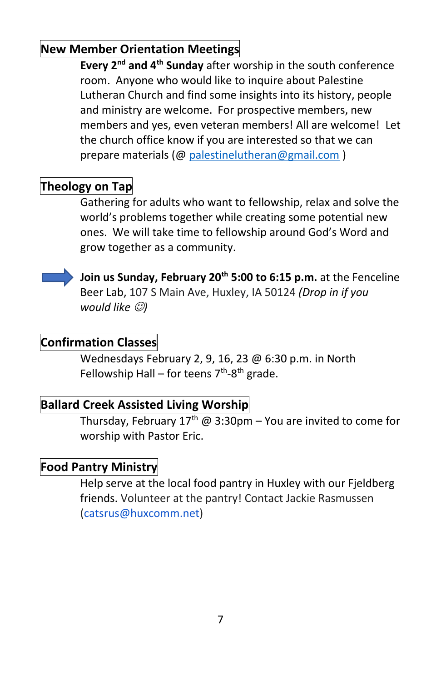#### **New Member Orientation Meetings**

**Every 2nd and 4th Sunday** after worship in the south conference room. Anyone who would like to inquire about Palestine Lutheran Church and find some insights into its history, people and ministry are welcome. For prospective members, new members and yes, even veteran members! All are welcome! Let the church office know if you are interested so that we can prepare materials ([@ palestinelutheran@gmail.com](mailto:palestinelutheran@gmail.com) )

#### **Theology on Tap**

Gathering for adults who want to fellowship, relax and solve the world's problems together while creating some potential new ones. We will take time to fellowship around God's Word and grow together as a community.



**Join us Sunday, February 20th 5:00 to 6:15 p.m.** at the Fenceline Beer Lab, 107 S Main Ave, Huxley, IA 50124 *(Drop in if you would like* ☺*)*

#### **Confirmation Classes**

Wednesdays February 2, 9, 16, 23 @ 6:30 p.m. in North Fellowship Hall – for teens 7<sup>th</sup>-8<sup>th</sup> grade.

#### **Ballard Creek Assisted Living Worship**

Thursday, February  $17<sup>th</sup>$  @ 3:30pm – You are invited to come for worship with Pastor Eric.

#### **Food Pantry Ministry**

Help serve at the local food pantry in Huxley with our Fjeldberg friends. Volunteer at the pantry! Contact Jackie Rasmussen [\(catsrus@huxcomm.net\)](mailto:catsrus@huxcomm.net)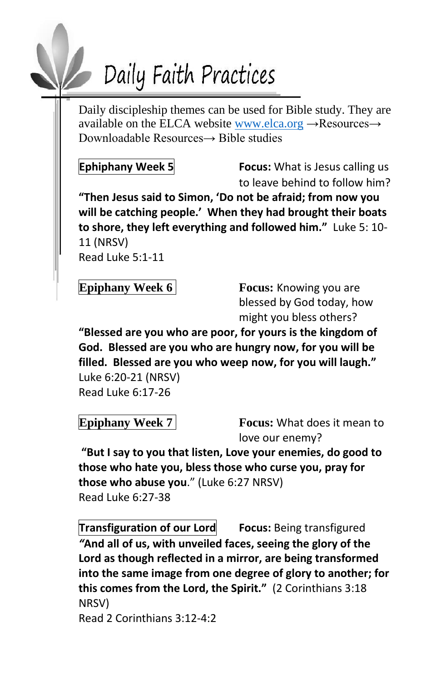# Daily Faith Practices

Daily discipleship themes can be used for Bible study. They are available on the ELCA website [www.elca.org](http://www.elca.org/)  $\rightarrow$ Resources $\rightarrow$ Downloadable Resources→ Bible studies

**Ephiphany Week 5 Focus:** What is Jesus calling us to leave behind to follow him?

**"Then Jesus said to Simon, 'Do not be afraid; from now you will be catching people.' When they had brought their boats to shore, they left everything and followed him."** Luke 5: 10- 11 (NRSV)

Read Luke 5:1-11

**Epiphany Week 6 Focus:** Knowing you are blessed by God today, how might you bless others?

**"Blessed are you who are poor, for yours is the kingdom of God. Blessed are you who are hungry now, for you will be filled. Blessed are you who weep now, for you will laugh."** Luke 6:20-21 (NRSV) Read Luke 6:17-26

**Epiphany Week 7 Focus:** What does it mean to love our enemy?

**"But I say to you that listen, Love your enemies, do good to those who hate you, bless those who curse you, pray for those who abuse you**." (Luke 6:27 NRSV) Read Luke 6:27-38

**Transfiguration of our Lord Focus:** Being transfigured *"***And all of us, with unveiled faces, seeing the glory of the Lord as though reflected in a mirror, are being transformed into the same image from one degree of glory to another; for this comes from the Lord, the Spirit."** (2 Corinthians 3:18 NRSV) Read 2 Corinthians 3:12-4:2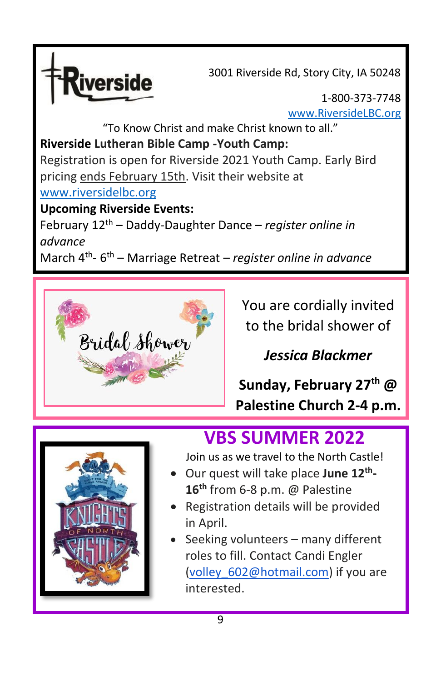

3001 Riverside Rd, Story City, IA 50248

1-800-373-7748 [www.RiversideLBC.org](http://www.riversidelbc.org/)

"To Know Christ and make Christ known to all." **Riverside Lutheran Bible Camp -Youth Camp:**  Registration is open for Riverside 2021 Youth Camp. Early Bird pricing ends February 15th. Visit their website at [www.riversidelbc.org](http://www.riversidelbc.org/)

#### **Upcoming Riverside Events:**

February 12 th – Daddy-Daughter Dance – *register online in advance*

March 4<sup>th</sup>-6<sup>th</sup> – Marriage Retreat – *register online in advance* 



You are cordially invited to the bridal shower of

### *Jessica Blackmer*

**Sunday, February 27th @ Palestine Church 2-4 p.m.**



### **VBS SUMMER 2022**

Join us as we travel to the North Castle!

- Our quest will take place **June 12th - 16 th** from 6-8 p.m. @ Palestine
- Registration details will be provided in April.
- Seeking volunteers many different roles to fill. Contact Candi Engler [\(volley\\_602@hotmail.com\)](mailto:volley_602@hotmail.com) if you are interested.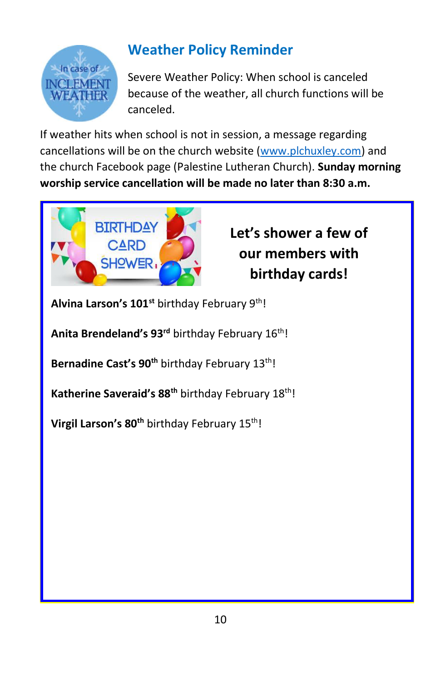

### **Weather Policy Reminder**

Severe Weather Policy: When school is canceled because of the weather, all church functions will be canceled.

If weather hits when school is not in session, a message regarding cancellations will be on the church website [\(www.plchuxley.com\)](http://www.plchuxley.com/) and the church Facebook page (Palestine Lutheran Church). **Sunday morning worship service cancellation will be made no later than 8:30 a.m.**



### **Let's shower a few of our members with birthday cards!**

**Alvina Larson's 101st** birthday February 9th!

Anita Brendeland's 93<sup>rd</sup> birthday February 16<sup>th</sup>!

Bernadine Cast's 90<sup>th</sup> birthday February 13<sup>th</sup>!

**Katherine Saveraid's 88th** birthday February 18th!

**Virgil Larson's 80<sup>th</sup> birthday February 15<sup>th</sup>!**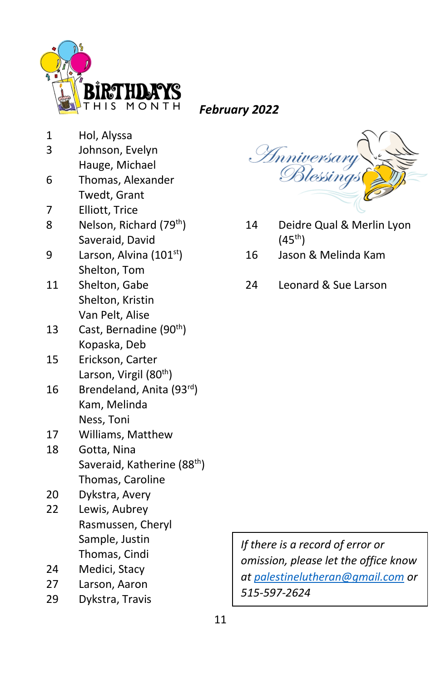

*February 2022*

- 1 Hol, Alyssa
- 3 Johnson, Evelyn
- Hauge, Michael
- 6 Thomas, Alexander Twedt, Grant
- 7 Elliott, Trice
- 8 Nelson, Richard (79<sup>th</sup>) Saveraid, David
- 9 Larson, Alvina (101<sup>st</sup>) Shelton, Tom
- 11 Shelton, Gabe Shelton, Kristin Van Pelt, Alise
- 13 Cast, Bernadine (90<sup>th</sup>) Kopaska, Deb
- 15 Erickson, Carter Larson, Virgil (80<sup>th</sup>)
- 16 Brendeland, Anita (93rd) Kam, Melinda Ness, Toni
- 17 Williams, Matthew
- 18 Gotta, Nina Saveraid, Katherine (88<sup>th</sup>) Thomas, Caroline
- 20 Dykstra, Avery
- 22 Lewis, Aubrey Rasmussen, Cheryl Sample, Justin Thomas, Cindi
- 24 Medici, Stacy
- 27 Larson, Aaron
- 29 Dykstra, Travis

| <i>Inniversary</i> |
|--------------------|
| Blessings          |
|                    |

- 14 Deidre Qual & Merlin Lyon  $(45^{th})$
- 16 Jason & Melinda Kam
- 24 Leonard & Sue Larson

*If there is a record of error or omission, please let the office know at [palestinelutheran@gmail.com](mailto:palestinelutheran@gmail.com) or 515-597-2624*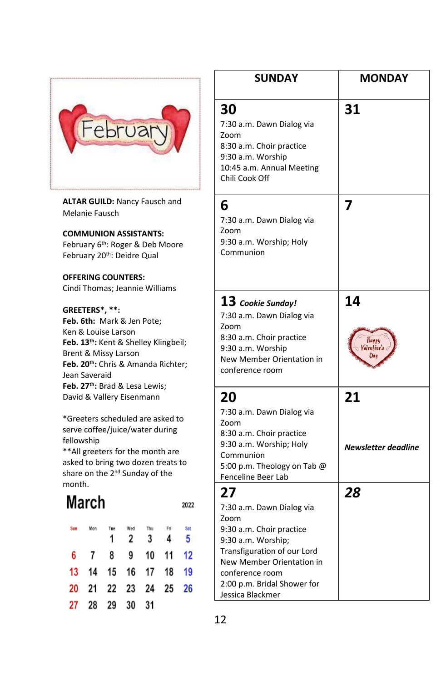

**ALTAR GUILD:** Nancy Fausch and Melanie Fausch

#### **COMMUNION ASSISTANTS:**

February 6<sup>th</sup>: Roger & Deb Moore February 20<sup>th</sup>: Deidre Qual

#### **OFFERING COUNTERS:**

Cindi Thomas; Jeannie Williams

#### **GREETERS\*, \*\*:**

**Feb. 6th:** Mark & Jen Pote; Ken & Louise Larson **Feb. 13th:** Kent & Shelley Klingbeil; Brent & Missy Larson **Feb. 20th:** Chris & Amanda Richter; Jean Saveraid **Feb. 27th:** Brad & Lesa Lewis; David & Vallery Eisenmann

\*Greeters scheduled are asked to serve coffee/juice/water during fellowship

\*\*All greeters for the month are asked to bring two dozen treats to share on the 2<sup>nd</sup> Sunday of the month.

### **March**

2022

|  | Sun Mon Tue Wed Thu Fri Sat | 1 2 3 4 5 |  |
|--|-----------------------------|-----------|--|
|  | 6 7 8 9 10 11 12            |           |  |
|  | 13 14 15 16 17 18 19        |           |  |
|  | 20 21 22 23 24 25 26        |           |  |
|  | 27 28 29 30 31              |           |  |

| <b>SUNDAY</b>                                                                                                                                                                                                               | <b>MONDAY</b>             |
|-----------------------------------------------------------------------------------------------------------------------------------------------------------------------------------------------------------------------------|---------------------------|
| 30<br>7:30 a.m. Dawn Dialog via<br>Zoom<br>8:30 a.m. Choir practice<br>9:30 a.m. Worship<br>10:45 a.m. Annual Meeting<br>Chili Cook Off                                                                                     | 31                        |
| 6<br>7:30 a.m. Dawn Dialog via<br>Zoom<br>9:30 a.m. Worship; Holy<br>Communion                                                                                                                                              | 7                         |
| ${\bf 13}$ Cookie Sunday!<br>7:30 a.m. Dawn Dialog via<br>Zoom<br>8:30 a.m. Choir practice<br>9:30 a.m. Worship<br>New Member Orientation in<br>conference room                                                             | 14<br>Happy<br>ilenfine's |
| 20<br>7:30 a.m. Dawn Dialog via<br>Zoom<br>8:30 a.m. Choir practice<br>9:30 a.m. Worship; Holy<br>Communion<br>5:00 p.m. Theology on Tab @<br>Fenceline Beer Lab                                                            | 21<br>Newsletter deadline |
| 27<br>7:30 a.m. Dawn Dialog via<br>Zoom<br>9:30 a.m. Choir practice<br>9:30 a.m. Worship;<br>Transfiguration of our Lord<br>New Member Orientation in<br>conference room<br>2:00 p.m. Bridal Shower for<br>Jessica Blackmer | 28                        |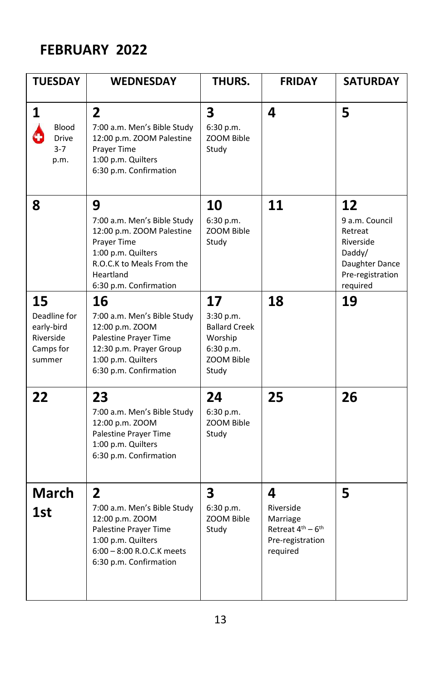### **FEBRUARY 2022**

| <b>TUESDAY</b>                                                       | <b>WEDNESDAY</b>                                                                                                                                                       | THURS.                                                                                 | <b>FRIDAY</b>                                                                                           | <b>SATURDAY</b>                                                                                          |
|----------------------------------------------------------------------|------------------------------------------------------------------------------------------------------------------------------------------------------------------------|----------------------------------------------------------------------------------------|---------------------------------------------------------------------------------------------------------|----------------------------------------------------------------------------------------------------------|
| 1<br>Blood<br><b>Drive</b><br>$3 - 7$<br>p.m.                        | $\overline{2}$<br>7:00 a.m. Men's Bible Study<br>12:00 p.m. ZOOM Palestine<br>Prayer Time<br>1:00 p.m. Quilters<br>6:30 p.m. Confirmation                              | 3<br>6:30 p.m.<br>ZOOM Bible<br>Study                                                  | 4                                                                                                       | 5                                                                                                        |
| 8                                                                    | 9<br>7:00 a.m. Men's Bible Study<br>12:00 p.m. ZOOM Palestine<br>Prayer Time<br>1:00 p.m. Quilters<br>R.O.C.K to Meals From the<br>Heartland<br>6:30 p.m. Confirmation | 10<br>6:30 p.m.<br>ZOOM Bible<br>Study                                                 | 11                                                                                                      | 12<br>9 a.m. Council<br>Retreat<br>Riverside<br>Daddy/<br>Daughter Dance<br>Pre-registration<br>required |
| 15<br>Deadline for<br>early-bird<br>Riverside<br>Camps for<br>summer | 16<br>7:00 a.m. Men's Bible Study<br>12:00 p.m. ZOOM<br>Palestine Prayer Time<br>12:30 p.m. Prayer Group<br>1:00 p.m. Quilters<br>6:30 p.m. Confirmation               | 17<br>3:30 p.m.<br><b>Ballard Creek</b><br>Worship<br>6:30 p.m.<br>ZOOM Bible<br>Study | 18                                                                                                      | 19                                                                                                       |
| 22                                                                   | 23<br>7:00 a.m. Men's Bible Study<br>12:00 p.m. ZOOM<br>Palestine Prayer Time<br>1:00 p.m. Quilters<br>6:30 p.m. Confirmation                                          | 24<br>6:30 p.m.<br>ZOOM Bible<br>Study                                                 | 25                                                                                                      | 26                                                                                                       |
| <b>March</b><br>1st                                                  | $\overline{2}$<br>7:00 a.m. Men's Bible Study<br>12:00 p.m. ZOOM<br>Palestine Prayer Time<br>1:00 p.m. Quilters<br>6:00 - 8:00 R.O.C.K meets<br>6:30 p.m. Confirmation | $\overline{\mathbf{3}}$<br>6:30 p.m.<br>ZOOM Bible<br>Study                            | 4<br>Riverside<br>Marriage<br>Retreat 4 <sup>th</sup> - 6 <sup>th</sup><br>Pre-registration<br>required | 5                                                                                                        |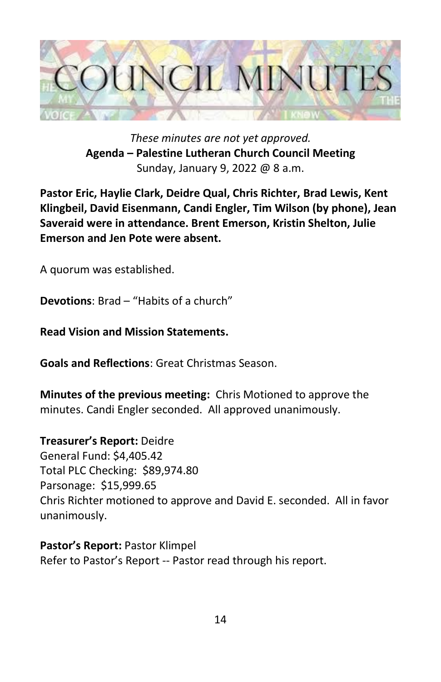

*These minutes are not yet approved.* **Agenda – Palestine Lutheran Church Council Meeting** Sunday, January 9, 2022 @ 8 a.m.

**Pastor Eric, Haylie Clark, Deidre Qual, Chris Richter, Brad Lewis, Kent Klingbeil, David Eisenmann, Candi Engler, Tim Wilson (by phone), Jean Saveraid were in attendance. Brent Emerson, Kristin Shelton, Julie Emerson and Jen Pote were absent.**

A quorum was established.

**Devotions**: Brad – "Habits of a church"

**Read Vision and Mission Statements.**

**Goals and Reflections**: Great Christmas Season.

**Minutes of the previous meeting:** Chris Motioned to approve the minutes. Candi Engler seconded. All approved unanimously.

**Treasurer's Report:** Deidre General Fund: \$4,405.42 Total PLC Checking: \$89,974.80 Parsonage: \$15,999.65 Chris Richter motioned to approve and David E. seconded. All in favor unanimously.

**Pastor's Report:** Pastor Klimpel Refer to Pastor's Report -- Pastor read through his report.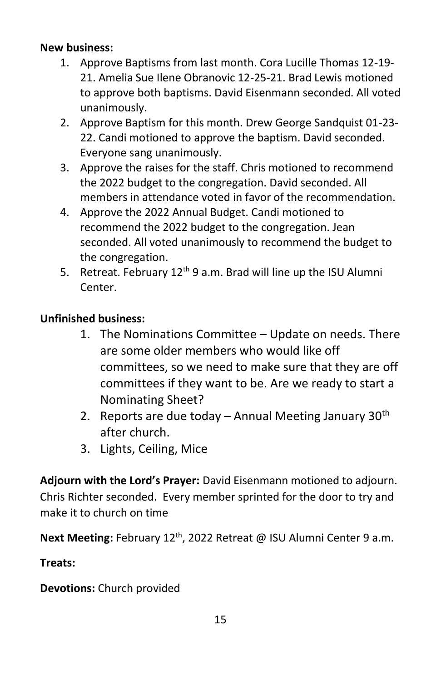#### **New business:**

- 1. Approve Baptisms from last month. Cora Lucille Thomas 12-19- 21. Amelia Sue Ilene Obranovic 12-25-21. Brad Lewis motioned to approve both baptisms. David Eisenmann seconded. All voted unanimously.
- 2. Approve Baptism for this month. Drew George Sandquist 01-23- 22. Candi motioned to approve the baptism. David seconded. Everyone sang unanimously.
- 3. Approve the raises for the staff. Chris motioned to recommend the 2022 budget to the congregation. David seconded. All members in attendance voted in favor of the recommendation.
- 4. Approve the 2022 Annual Budget. Candi motioned to recommend the 2022 budget to the congregation. Jean seconded. All voted unanimously to recommend the budget to the congregation.
- 5. Retreat. February 12<sup>th</sup> 9 a.m. Brad will line up the ISU Alumni Center.

#### **Unfinished business:**

- 1. The Nominations Committee Update on needs. There are some older members who would like off committees, so we need to make sure that they are off committees if they want to be. Are we ready to start a Nominating Sheet?
- 2. Reports are due today Annual Meeting January  $30<sup>th</sup>$ after church.
- 3. Lights, Ceiling, Mice

**Adjourn with the Lord's Prayer:** David Eisenmann motioned to adjourn. Chris Richter seconded. Every member sprinted for the door to try and make it to church on time

**Next Meeting:** February 12<sup>th</sup>, 2022 Retreat @ ISU Alumni Center 9 a.m.

#### **Treats:**

**Devotions:** Church provided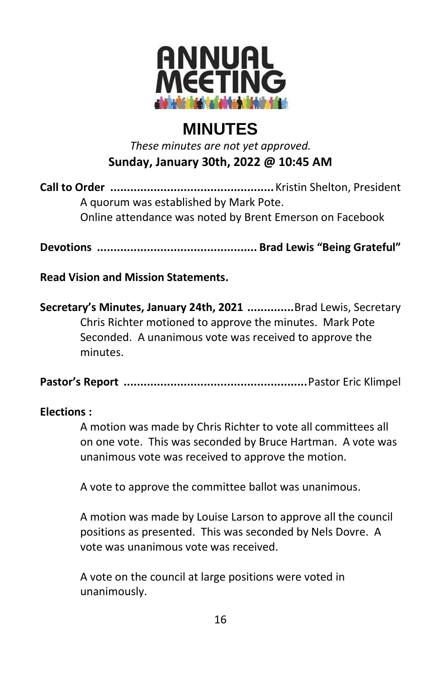

### **MINUTES**

*These minutes are not yet approved.* **Sunday, January 30th, 2022 @ 10:45 AM**

**Call to Order .................................................**Kristin Shelton, President A quorum was established by Mark Pote. Online attendance was noted by Brent Emerson on Facebook

**Devotions ................................................ Brad Lewis "Being Grateful"**

**Read Vision and Mission Statements.**

**Secretary's Minutes, January 24th, 2021 ..............**Brad Lewis, Secretary Chris Richter motioned to approve the minutes. Mark Pote Seconded. A unanimous vote was received to approve the minutes.

**Pastor's Report .......................................................**Pastor Eric Klimpel

#### **Elections :**

A motion was made by Chris Richter to vote all committees all on one vote. This was seconded by Bruce Hartman. A vote was unanimous vote was received to approve the motion.

A vote to approve the committee ballot was unanimous.

A motion was made by Louise Larson to approve all the council positions as presented. This was seconded by Nels Dovre. A vote was unanimous vote was received.

A vote on the council at large positions were voted in unanimously.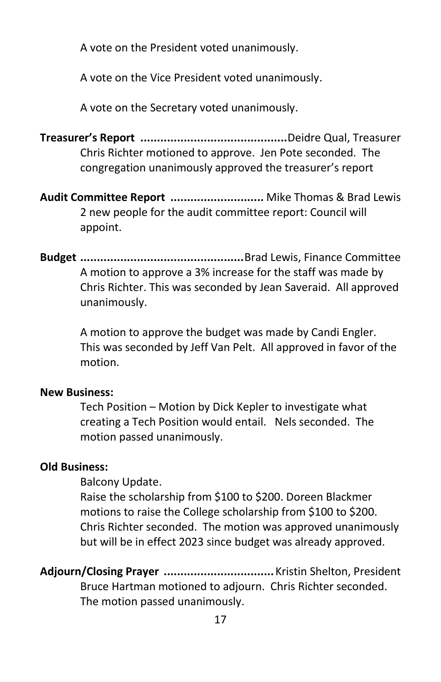A vote on the President voted unanimously.

A vote on the Vice President voted unanimously.

A vote on the Secretary voted unanimously.

**Treasurer's Report ............................................**Deidre Qual, Treasurer Chris Richter motioned to approve. Jen Pote seconded. The congregation unanimously approved the treasurer's report

**Audit Committee Report ............................** Mike Thomas & Brad Lewis 2 new people for the audit committee report: Council will appoint.

**Budget .................................................**Brad Lewis, Finance Committee A motion to approve a 3% increase for the staff was made by Chris Richter. This was seconded by Jean Saveraid. All approved unanimously.

> A motion to approve the budget was made by Candi Engler. This was seconded by Jeff Van Pelt. All approved in favor of the motion.

#### **New Business:**

Tech Position – Motion by Dick Kepler to investigate what creating a Tech Position would entail. Nels seconded. The motion passed unanimously.

#### **Old Business:**

Balcony Update.

Raise the scholarship from \$100 to \$200. Doreen Blackmer motions to raise the College scholarship from \$100 to \$200. Chris Richter seconded. The motion was approved unanimously but will be in effect 2023 since budget was already approved.

**Adjourn/Closing Prayer .................................**Kristin Shelton, President Bruce Hartman motioned to adjourn. Chris Richter seconded. The motion passed unanimously.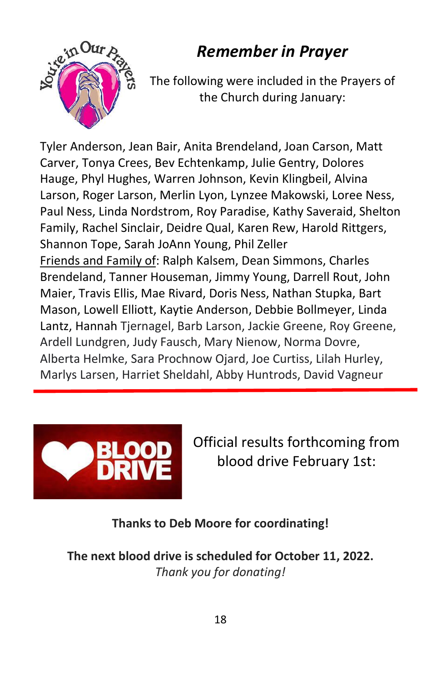### *Remember in Prayer*



The following were included in the Prayers of the Church during January:

Tyler Anderson, Jean Bair, Anita Brendeland, Joan Carson, Matt Carver, Tonya Crees, Bev Echtenkamp, Julie Gentry, Dolores Hauge, Phyl Hughes, Warren Johnson, Kevin Klingbeil, Alvina Larson, Roger Larson, Merlin Lyon, Lynzee Makowski, Loree Ness, Paul Ness, Linda Nordstrom, Roy Paradise, Kathy Saveraid, Shelton Family, Rachel Sinclair, Deidre Qual, Karen Rew, Harold Rittgers, Shannon Tope, Sarah JoAnn Young, Phil Zeller Friends and Family of: Ralph Kalsem, Dean Simmons, Charles Brendeland, Tanner Houseman, Jimmy Young, Darrell Rout, John Maier, Travis Ellis, Mae Rivard, Doris Ness, Nathan Stupka, Bart Mason, Lowell Elliott, Kaytie Anderson, Debbie Bollmeyer, Linda Lantz, Hannah Tjernagel, Barb Larson, Jackie Greene, Roy Greene, Ardell Lundgren, Judy Fausch, Mary Nienow, Norma Dovre, Alberta Helmke, Sara Prochnow Ojard, Joe Curtiss, Lilah Hurley, Marlys Larsen, Harriet Sheldahl, Abby Huntrods, David Vagneur



Official results forthcoming from blood drive February 1st:

**Thanks to Deb Moore for coordinating!**

**The next blood drive is scheduled for October 11, 2022.** *Thank you for donating!*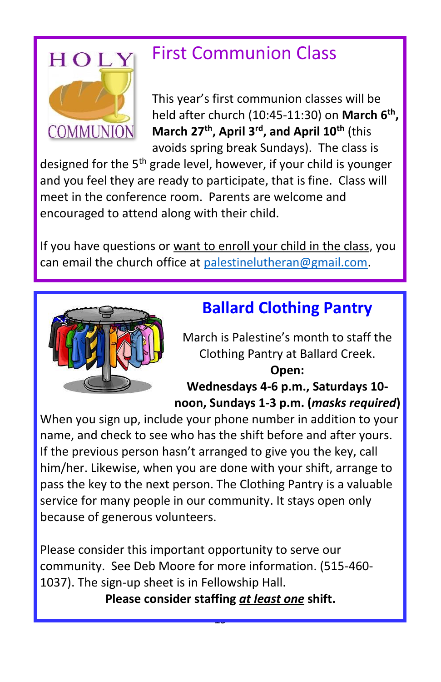

## First Communion Class

This year's first communion classes will be held after church (10:45-11:30) on **March 6th , March 27th, April 3rd, and April 10th** (this avoids spring break Sundays). The class is

designed for the 5<sup>th</sup> grade level, however, if your child is younger and you feel they are ready to participate, that is fine. Class will meet in the conference room. Parents are welcome and encouraged to attend along with their child.

If you have questions or want to enroll your child in the class, you can email the church office at [palestinelutheran@gmail.com.](mailto:palestinelutheran@gmail.com)



### **Ballard Clothing Pantry**

March is Palestine's month to staff the Clothing Pantry at Ballard Creek. **Open:** 

### **Wednesdays 4-6 p.m., Saturdays 10 noon, Sundays 1-3 p.m. (***masks required***)**

When you sign up, include your phone number in addition to your name, and check to see who has the shift before and after yours. If the previous person hasn't arranged to give you the key, call him/her. Likewise, when you are done with your shift, arrange to pass the key to the next person. The Clothing Pantry is a valuable service for many people in our community. It stays open only because of generous volunteers.

Please consider this important opportunity to serve our community. See Deb Moore for more information. (515-460- 1037). The sign-up sheet is in Fellowship Hall.

**Please consider staffing** *at least one* **shift.**

19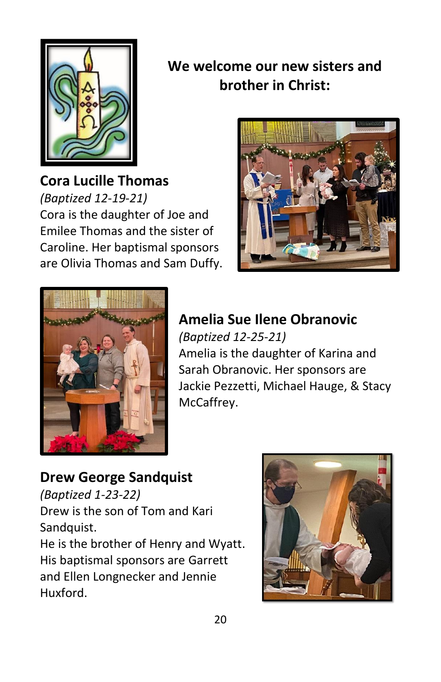

**We welcome our new sisters and brother in Christ:**

**Cora Lucille Thomas** *(Baptized 12-19-21)* Cora is the daughter of Joe and Emilee Thomas and the sister of Caroline. Her baptismal sponsors are Olivia Thomas and Sam Duffy.





### **Amelia Sue Ilene Obranovic** *(Baptized 12-25-21)* Amelia is the daughter of Karina and Sarah Obranovic. Her sponsors are Jackie Pezzetti, Michael Hauge, & Stacy McCaffrey.

**Drew George Sandquist** *(Baptized 1-23-22)* Drew is the son of Tom and Kari Sandquist. He is the brother of Henry and Wyatt. His baptismal sponsors are Garrett and Ellen Longnecker and Jennie Huxford.

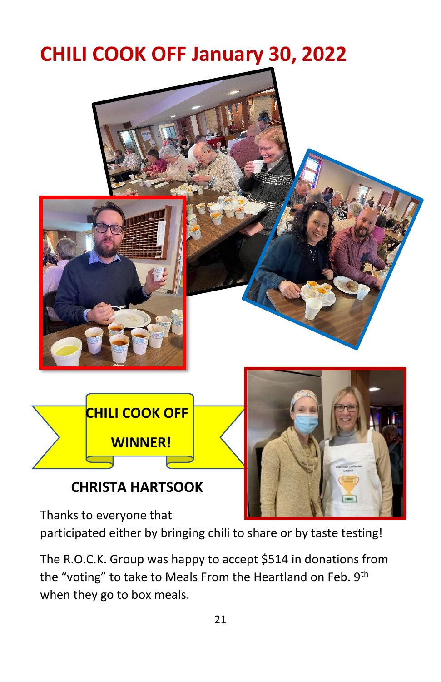## **CHILI COOK OFF January 30, 2022**



Thanks to everyone that

participated either by bringing chili to share or by taste testing!

The R.O.C.K. Group was happy to accept \$514 in donations from the "voting" to take to Meals From the Heartland on Feb. 9<sup>th</sup> when they go to box meals.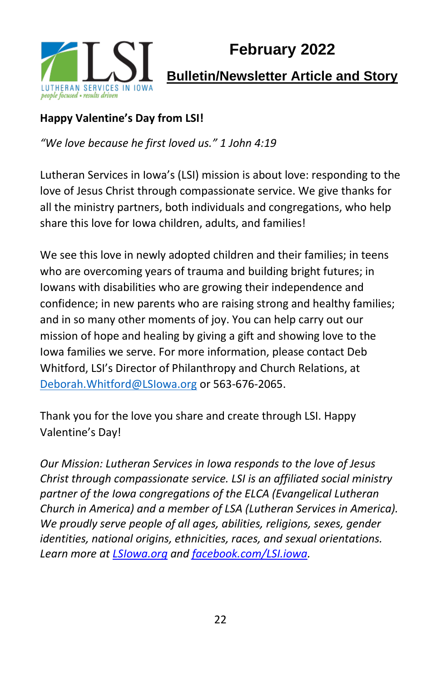

#### **Happy Valentine's Day from LSI!**

*"We love because he first loved us." 1 John 4:19*

Lutheran Services in Iowa's (LSI) mission is about love: responding to the love of Jesus Christ through compassionate service. We give thanks for all the ministry partners, both individuals and congregations, who help share this love for Iowa children, adults, and families!

We see this love in newly adopted children and their families; in teens who are overcoming years of trauma and building bright futures; in Iowans with disabilities who are growing their independence and confidence; in new parents who are raising strong and healthy families; and in so many other moments of joy. You can help carry out our mission of hope and healing by giving a gift and showing love to the Iowa families we serve. For more information, please contact Deb Whitford, LSI's Director of Philanthropy and Church Relations, at [Deborah.Whitford@LSIowa.org](mailto:Deborah.Whitford@LSIowa.org) or 563-676-2065.

Thank you for the love you share and create through LSI. Happy Valentine's Day!

*Our Mission: Lutheran Services in Iowa responds to the love of Jesus Christ through compassionate service. LSI is an affiliated social ministry partner of the Iowa congregations of the ELCA (Evangelical Lutheran Church in America) and a member of LSA (Lutheran Services in America). We proudly serve people of all ages, abilities, religions, sexes, gender identities, national origins, ethnicities, races, and sexual orientations. Learn more at [LSIowa.org](http://www.lsiowa.org/) an[d facebook.com/LSI.iowa.](http://www.facebook.com/LSI.iowa)*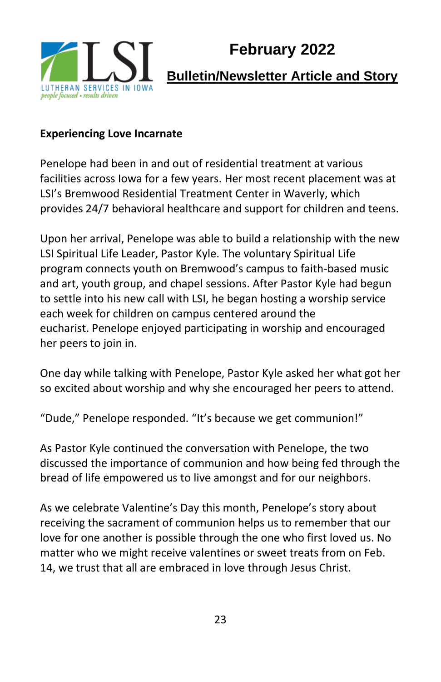

### **February 2022**

### **Bulletin/Newsletter Article and Story**

#### **Experiencing Love Incarnate**

Penelope had been in and out of residential treatment at various facilities across Iowa for a few years. Her most recent placement was at LSI's Bremwood Residential Treatment Center in Waverly, which provides 24/7 behavioral healthcare and support for children and teens.

Upon her arrival, Penelope was able to build a relationship with the new LSI Spiritual Life Leader, Pastor Kyle. The voluntary Spiritual Life program connects youth on Bremwood's campus to faith-based music and art, youth group, and chapel sessions. After Pastor Kyle had begun to settle into his new call with LSI, he began hosting a worship service each week for children on campus centered around the eucharist. Penelope enjoyed participating in worship and encouraged her peers to join in.

One day while talking with Penelope, Pastor Kyle asked her what got her so excited about worship and why she encouraged her peers to attend.

"Dude," Penelope responded. "It's because we get communion!"

As Pastor Kyle continued the conversation with Penelope, the two discussed the importance of communion and how being fed through the bread of life empowered us to live amongst and for our neighbors.

As we celebrate Valentine's Day this month, Penelope's story about receiving the sacrament of communion helps us to remember that our love for one another is possible through the one who first loved us. No matter who we might receive valentines or sweet treats from on Feb. 14, we trust that all are embraced in love through Jesus Christ.